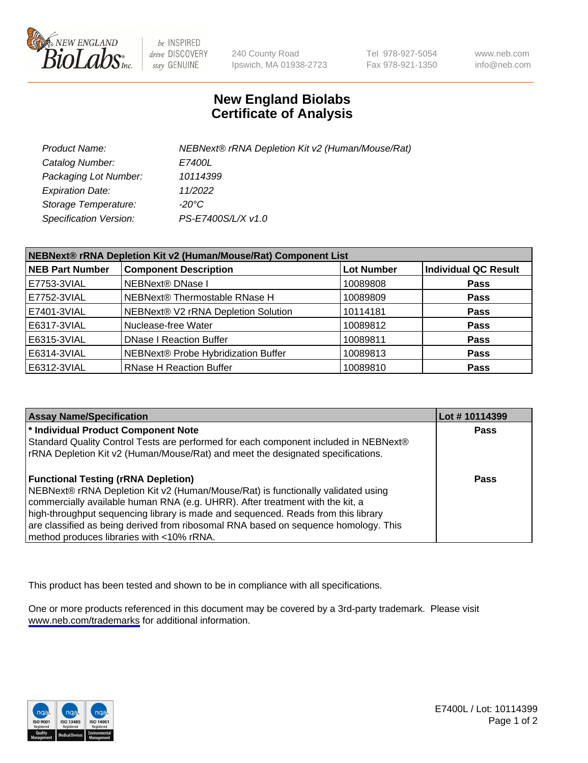

be INSPIRED drive DISCOVERY stay GENUINE

240 County Road Ipswich, MA 01938-2723 Tel 978-927-5054 Fax 978-921-1350

www.neb.com info@neb.com

## **New England Biolabs Certificate of Analysis**

| Product Name:           | NEBNext® rRNA Depletion Kit v2 (Human/Mouse/Rat) |
|-------------------------|--------------------------------------------------|
| Catalog Number:         | <i>E7400L</i>                                    |
| Packaging Lot Number:   | 10114399                                         |
| <b>Expiration Date:</b> | 11/2022                                          |
| Storage Temperature:    | -20°C                                            |
| Specification Version:  | PS-E7400S/L/X v1.0                               |

| NEBNext® rRNA Depletion Kit v2 (Human/Mouse/Rat) Component List |                                     |                   |                             |  |
|-----------------------------------------------------------------|-------------------------------------|-------------------|-----------------------------|--|
| <b>NEB Part Number</b>                                          | <b>Component Description</b>        | <b>Lot Number</b> | <b>Individual QC Result</b> |  |
| E7753-3VIAL                                                     | <b>NEBNext® DNase I</b>             | 10089808          | <b>Pass</b>                 |  |
| E7752-3VIAL                                                     | NEBNext® Thermostable RNase H       | 10089809          | <b>Pass</b>                 |  |
| E7401-3VIAL                                                     | NEBNext® V2 rRNA Depletion Solution | 10114181          | <b>Pass</b>                 |  |
| E6317-3VIAL                                                     | Nuclease-free Water                 | 10089812          | <b>Pass</b>                 |  |
| E6315-3VIAL                                                     | <b>DNase I Reaction Buffer</b>      | 10089811          | <b>Pass</b>                 |  |
| E6314-3VIAL                                                     | NEBNext® Probe Hybridization Buffer | 10089813          | <b>Pass</b>                 |  |
| E6312-3VIAL                                                     | <b>RNase H Reaction Buffer</b>      | 10089810          | <b>Pass</b>                 |  |

| <b>Assay Name/Specification</b>                                                      | Lot # 10114399 |
|--------------------------------------------------------------------------------------|----------------|
| * Individual Product Component Note                                                  | <b>Pass</b>    |
| Standard Quality Control Tests are performed for each component included in NEBNext® |                |
| rRNA Depletion Kit v2 (Human/Mouse/Rat) and meet the designated specifications.      |                |
| <b>Functional Testing (rRNA Depletion)</b>                                           | <b>Pass</b>    |
| NEBNext® rRNA Depletion Kit v2 (Human/Mouse/Rat) is functionally validated using     |                |
| commercially available human RNA (e.g. UHRR). After treatment with the kit, a        |                |
| high-throughput sequencing library is made and sequenced. Reads from this library    |                |
| are classified as being derived from ribosomal RNA based on sequence homology. This  |                |
| method produces libraries with <10% rRNA.                                            |                |

This product has been tested and shown to be in compliance with all specifications.

One or more products referenced in this document may be covered by a 3rd-party trademark. Please visit <www.neb.com/trademarks>for additional information.